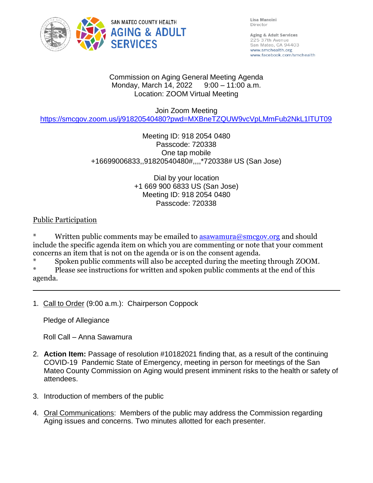

Lisa Mancini Director

Aging & Adult Services 225 37th Avenue San Mateo, CA 94403 www.smchealth.org www.facebook.com/smchealth

#### Commission on Aging General Meeting Agenda Monday, March 14, 2022 9:00 - 11:00 a.m. Location: ZOOM Virtual Meeting

### Join Zoom Meeting

<https://smcgov.zoom.us/j/91820540480?pwd=MXBneTZQUW9vcVpLMmFub2NkL1lTUT09>

## Meeting ID: 918 2054 0480 Passcode: 720338 One tap mobile +16699006833,,91820540480#,,,,\*720338# US (San Jose)

#### Dial by your location +1 669 900 6833 US (San Jose) Meeting ID: 918 2054 0480 Passcode: 720338

## Public Participation

Written public comments may be emailed to  $\frac{1}{2}$  as awamura@smcgov.org and should include the specific agenda item on which you are commenting or note that your comment concerns an item that is not on the agenda or is on the consent agenda.

\* Spoken public comments will also be accepted during the meeting through ZOOM.

Please see instructions for written and spoken public comments at the end of this agenda.

1. Call to Order (9:00 a.m.): Chairperson Coppock

Pledge of Allegiance

Roll Call – Anna Sawamura

- 2. **Action Item:** Passage of resolution #10182021 finding that, as a result of the continuing COVID-19 Pandemic State of Emergency, meeting in person for meetings of the San Mateo County Commission on Aging would present imminent risks to the health or safety of attendees.
- 3. Introduction of members of the public
- 4. Oral Communications: Members of the public may address the Commission regarding Aging issues and concerns. Two minutes allotted for each presenter.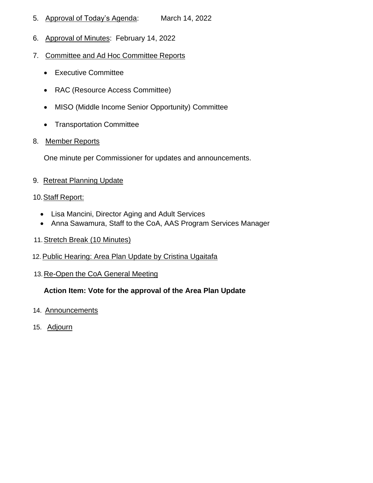- 5. Approval of Today's Agenda: March 14, 2022
- 6. Approval of Minutes: February 14, 2022
- 7. Committee and Ad Hoc Committee Reports
	- Executive Committee
	- RAC (Resource Access Committee)
	- MISO (Middle Income Senior Opportunity) Committee
	- Transportation Committee
- 8. Member Reports

One minute per Commissioner for updates and announcements.

9. Retreat Planning Update

#### 10.Staff Report:

- Lisa Mancini, Director Aging and Adult Services
- Anna Sawamura, Staff to the CoA, AAS Program Services Manager
- 11.Stretch Break (10 Minutes)
- 12. Public Hearing: Area Plan Update by Cristina Ugaitafa
- 13. Re-Open the CoA General Meeting

# **Action Item: Vote for the approval of the Area Plan Update**

- 14. Announcements
- 15. Adjourn